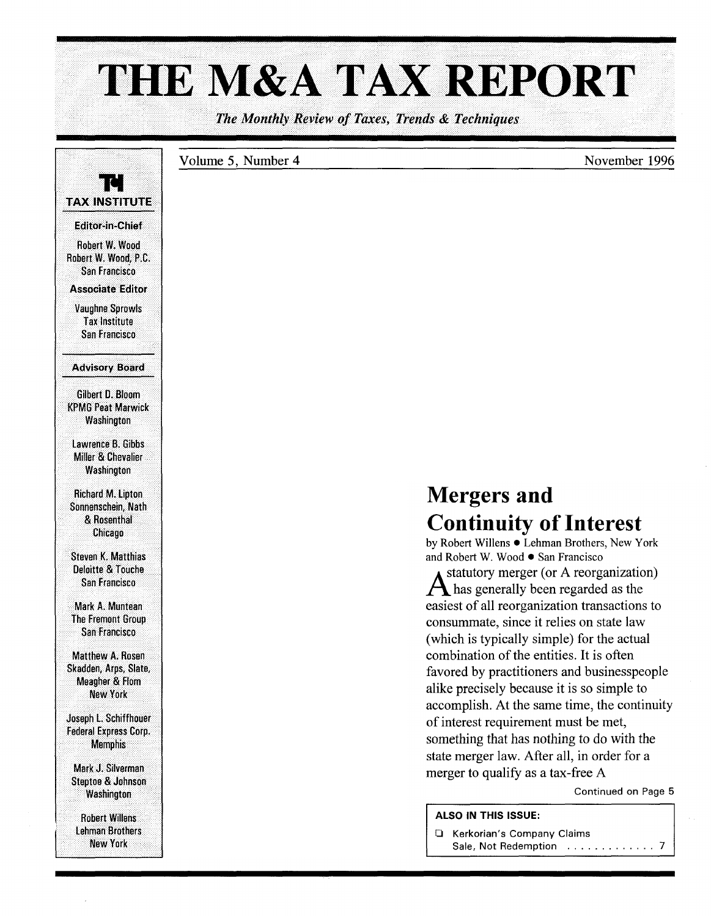# THE M&A TAX REPORT

The Monthly Review of Taxes, Trends & Techniques

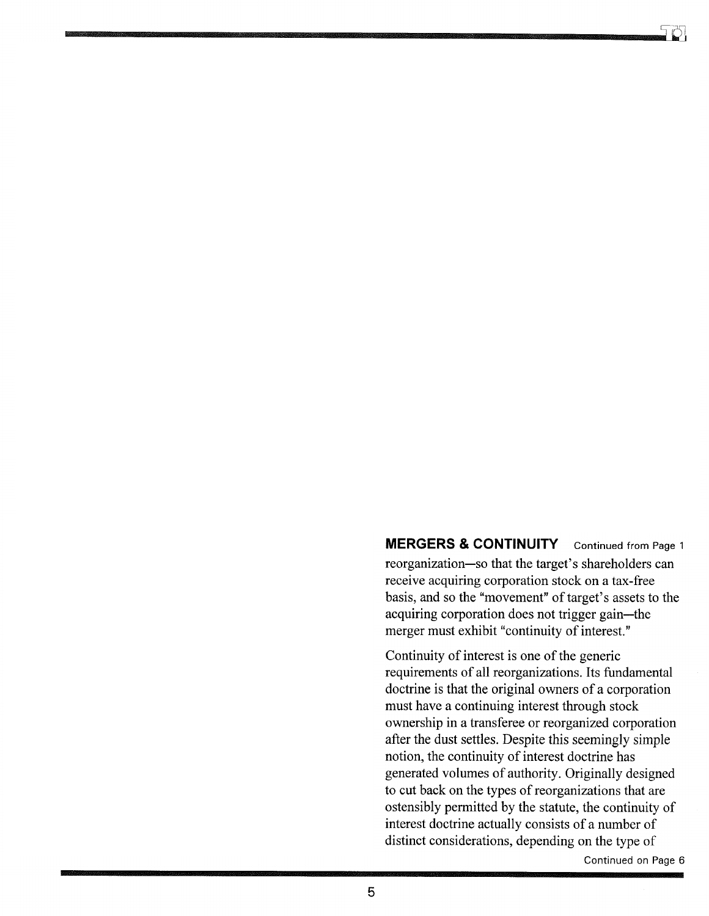**MERGERS & CONTINUITY** Continued from Page 1 reorganization-so that the target's shareholders can receive acquiring corporation stock on a tax-free basis, and so the "movement" of target's assets to the acquiring corporation does not trigger gain-the merger must exhibit "continuity of interest."

Continuity of interest is one of the generic requirements of all reorganizations. Its fundamental doctrine is that the original owners of a corporation must have a continuing interest through stock ownership in a transferee or reorganized corporation after the dust settles. Despite this seemingly simple notion, the continuity of interest doctrine has generated volumes of authority. Originally designed to cut back on the types of reorganizations that are ostensibly permitted by the statute, the continuity of interest doctrine actually consists of a number of distinct considerations, depending on the type of

Continued on Page 6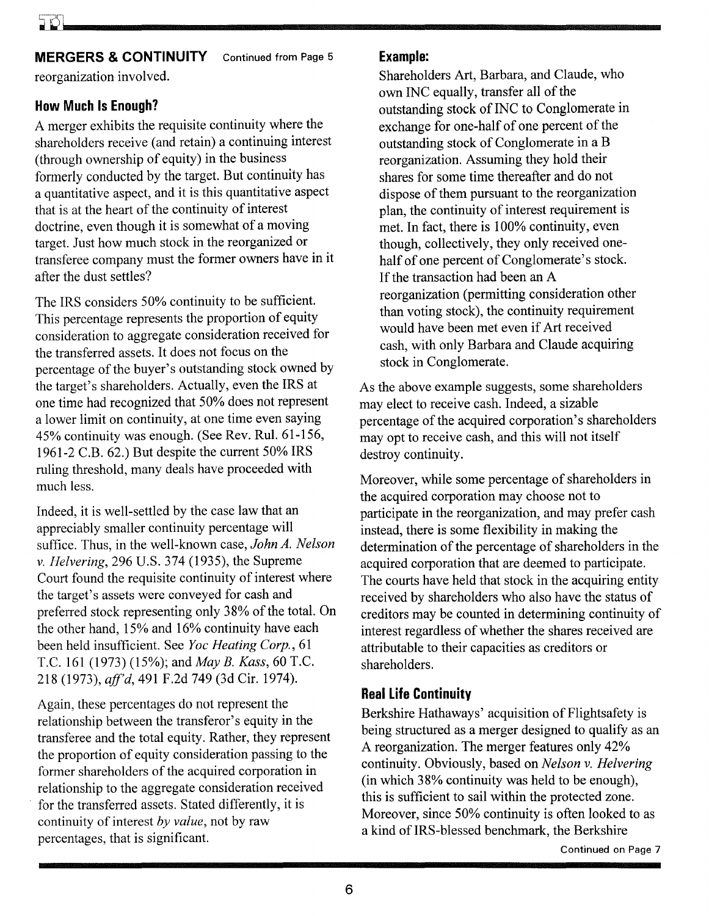#### **MERGERS & CONTINUITY** Continued from Page 5

reorganization involved.

### **How Much Is Enough?**

A merger exhibits the requisite continuity where the shareholders receive (and retain) a continuing interest (through ownership of equity) in the business formerly conducted by the target. But continuity has a quantitative aspect, and it is this quantitative aspect that is at the heart of the continuity of interest doctrine, even though it is somewhat of a moving target. Just how much stock in the reorganized or transferee company must the former owners have in it after the dust settles?

The IRS considers 50% continuity to be sufficient. This percentage represents the proportion of equity consideration to aggregate consideration received for the transferred assets. It does not focus on the percentage of the buyer's outstanding stock owned by the target's shareholders. Actually, even the IRS at one time had recognized that 50% does not represent a lower limit on continuity, at one time even saying 45% continuity was enough. (See Rev. Rul. 61-156, 1961-2 C.B. 62.) But despite the current 50% IRS ruling threshold, many deals have proceeded with much less.

Indeed, it is well-settled by the case law that an appreciably smaller continuity percentage will suffice. Thus, in the well-known case, *John A. Nelson*  v. *Helvering,* 296 U.S. 374 (1935), the Supreme Court found the requisite continuity of interest where the target's assets were conveyed for cash and preferred stock representing only 38% of the total. On the other hand, 15% and 16% continuity have each been held insufficient. See *Yoc Heating Corp., 61*  T.C. 161 (1973) (15%); and *May B. Kass,* 60 T.C. 218 (1973), *ajf'd,* 491 F.2d 749 (3d Cir. 1974).

Again, these percentages do not represent the relationship between the transferor's equity in the transferee and the total equity. Rather, they represent the proportion of equity consideration passing to the former shareholders of the acquired corporation in relationship to the aggregate consideration received for the transferred assets. Stated differently, it is continuity of interest *by value,* not by raw percentages, that is significant.

#### **Example:**

Shareholders Art, Barbara, and Claude, who own INC equally, transfer all of the outstanding stock of INC to Conglomerate in exchange for one-half of one percent of the outstanding stock of Conglomerate in a B reorganization. Assuming they hold their shares for some time thereafter and do not dispose of them pursuant to the reorganization plan, the continuity of interest requirement is met. In fact, there is 100% continuity, even though, collectively, they only received onehalf of one percent of Conglomerate's stock. If the transaction had been an A reorganization (permitting consideration other than voting stock), the continuity requirement would have been met even if Art received cash, with only Barbara and Claude acquiring stock in Conglomerate.

As the above example suggests, some shareholders may elect to receive cash. Indeed, a sizable percentage of the acquired corporation's shareholders may opt to receive cash, and this will not itself destroy continuity.

Moreover, while some percentage of shareholders in the acquired corporation may choose not to participate in the reorganization, and may prefer cash instead, there is some flexibility in making the determination of the percentage of shareholders in the acquired corporation that are deemed to participate. The courts have held that stock in the acquiring entity received by shareholders who also have the status of creditors may be counted in determining continuity of interest regardless of whether the shares received are attributable to their capacities as creditors or shareholders.

#### **Real Life Continuity**

Berkshire Hathaways' acquisition of Flightsafety is being structured as a merger designed to qualify as an A reorganization. The merger features only 42% continuity. Obviously, based on *Nelson* v. *Helvering*  (in which 38% continuity was held to be enough), this is sufficient to sail within the protected zone. Moreover, since 50% continuity is often looked to as a kind of IRS-blessed benchmark, the Berkshire

Continued on Page 7